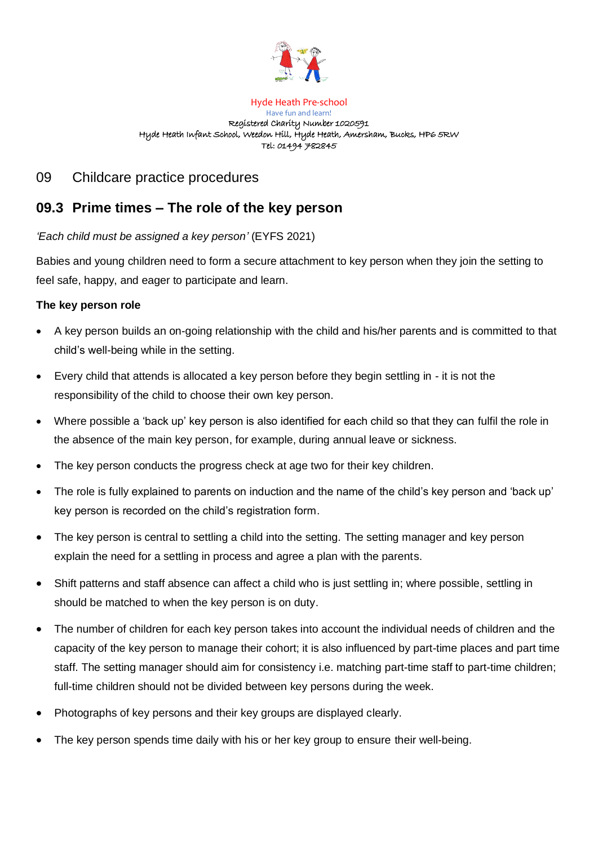

Hyde Heath Pre-school Have fun and learn! Registered Charity Number 1020591 Hyde Heath Infant School, Weedon Hill, Hyde Heath, Amersham, Bucks, HP6 5RW Tel: 01494 782845

# 09 Childcare practice procedures

# **09.3 Prime times – The role of the key person**

*'Each child must be assigned a key person'* (EYFS 2021)

Babies and young children need to form a secure attachment to key person when they join the setting to feel safe, happy, and eager to participate and learn.

# **The key person role**

- A key person builds an on-going relationship with the child and his/her parents and is committed to that child's well-being while in the setting.
- Every child that attends is allocated a key person before they begin settling in it is not the responsibility of the child to choose their own key person.
- Where possible a 'back up' key person is also identified for each child so that they can fulfil the role in the absence of the main key person, for example, during annual leave or sickness.
- The key person conducts the progress check at age two for their key children.
- The role is fully explained to parents on induction and the name of the child's key person and 'back up' key person is recorded on the child's registration form.
- The key person is central to settling a child into the setting. The setting manager and key person explain the need for a settling in process and agree a plan with the parents.
- Shift patterns and staff absence can affect a child who is just settling in; where possible, settling in should be matched to when the key person is on duty.
- The number of children for each key person takes into account the individual needs of children and the capacity of the key person to manage their cohort; it is also influenced by part-time places and part time staff. The setting manager should aim for consistency i.e. matching part-time staff to part-time children; full-time children should not be divided between key persons during the week.
- Photographs of key persons and their key groups are displayed clearly.
- The key person spends time daily with his or her key group to ensure their well-being.